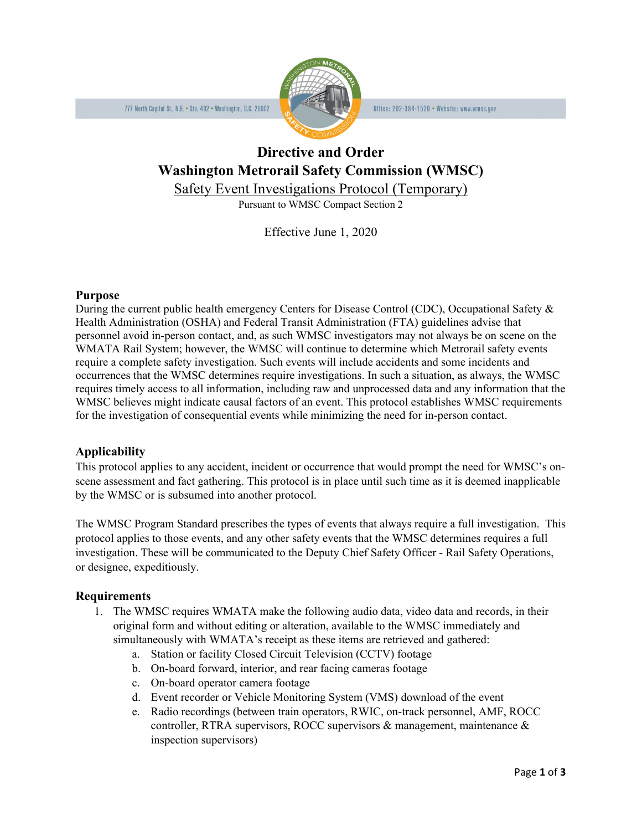

Office: 202-384-1520 • Website: www.wmsc.gov

# **Directive and Order Washington Metrorail Safety Commission (WMSC)**

Safety Event Investigations Protocol (Temporary)

Pursuant to WMSC Compact Section 2

Effective June 1, 2020

### **Purpose**

During the current public health emergency Centers for Disease Control (CDC), Occupational Safety & Health Administration (OSHA) and Federal Transit Administration (FTA) guidelines advise that personnel avoid in-person contact, and, as such WMSC investigators may not always be on scene on the WMATA Rail System; however, the WMSC will continue to determine which Metrorail safety events require a complete safety investigation. Such events will include accidents and some incidents and occurrences that the WMSC determines require investigations. In such a situation, as always, the WMSC requires timely access to all information, including raw and unprocessed data and any information that the WMSC believes might indicate causal factors of an event. This protocol establishes WMSC requirements for the investigation of consequential events while minimizing the need for in-person contact.

# **Applicability**

This protocol applies to any accident, incident or occurrence that would prompt the need for WMSC's onscene assessment and fact gathering. This protocol is in place until such time as it is deemed inapplicable by the WMSC or is subsumed into another protocol.

The WMSC Program Standard prescribes the types of events that always require a full investigation. This protocol applies to those events, and any other safety events that the WMSC determines requires a full investigation. These will be communicated to the Deputy Chief Safety Officer - Rail Safety Operations, or designee, expeditiously.

# **Requirements**

- 1. The WMSC requires WMATA make the following audio data, video data and records, in their original form and without editing or alteration, available to the WMSC immediately and simultaneously with WMATA's receipt as these items are retrieved and gathered:
	- a. Station or facility Closed Circuit Television (CCTV) footage
	- b. On-board forward, interior, and rear facing cameras footage
	- c. On-board operator camera footage
	- d. Event recorder or Vehicle Monitoring System (VMS) download of the event
	- e. Radio recordings (between train operators, RWIC, on-track personnel, AMF, ROCC controller, RTRA supervisors, ROCC supervisors & management, maintenance & inspection supervisors)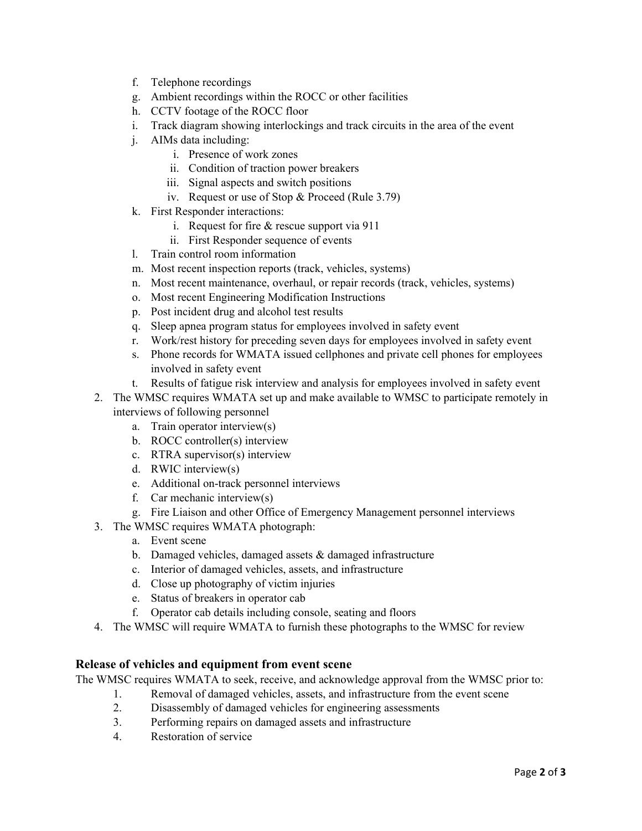- f. Telephone recordings
- g. Ambient recordings within the ROCC or other facilities
- h. CCTV footage of the ROCC floor
- i. Track diagram showing interlockings and track circuits in the area of the event
- j. AIMs data including:
	- i. Presence of work zones
	- ii. Condition of traction power breakers
	- iii. Signal aspects and switch positions
	- iv. Request or use of Stop & Proceed (Rule 3.79)
- k. First Responder interactions:
	- i. Request for fire & rescue support via 911
	- ii. First Responder sequence of events
- l. Train control room information
- m. Most recent inspection reports (track, vehicles, systems)
- n. Most recent maintenance, overhaul, or repair records (track, vehicles, systems)
- o. Most recent Engineering Modification Instructions
- p. Post incident drug and alcohol test results
- q. Sleep apnea program status for employees involved in safety event
- r. Work/rest history for preceding seven days for employees involved in safety event
- s. Phone records for WMATA issued cellphones and private cell phones for employees involved in safety event
- t. Results of fatigue risk interview and analysis for employees involved in safety event
- 2. The WMSC requires WMATA set up and make available to WMSC to participate remotely in interviews of following personnel
	- a. Train operator interview(s)
	- b. ROCC controller(s) interview
	- c. RTRA supervisor(s) interview
	- d. RWIC interview(s)
	- e. Additional on-track personnel interviews
	- f. Car mechanic interview(s)
	- g. Fire Liaison and other Office of Emergency Management personnel interviews
- 3. The WMSC requires WMATA photograph:
	- a. Event scene
	- b. Damaged vehicles, damaged assets & damaged infrastructure
	- c. Interior of damaged vehicles, assets, and infrastructure
	- d. Close up photography of victim injuries
	- e. Status of breakers in operator cab
	- f. Operator cab details including console, seating and floors
- 4. The WMSC will require WMATA to furnish these photographs to the WMSC for review

### **Release of vehicles and equipment from event scene**

The WMSC requires WMATA to seek, receive, and acknowledge approval from the WMSC prior to:

- 1. Removal of damaged vehicles, assets, and infrastructure from the event scene
- 2. Disassembly of damaged vehicles for engineering assessments
- 3. Performing repairs on damaged assets and infrastructure
- 4. Restoration of service